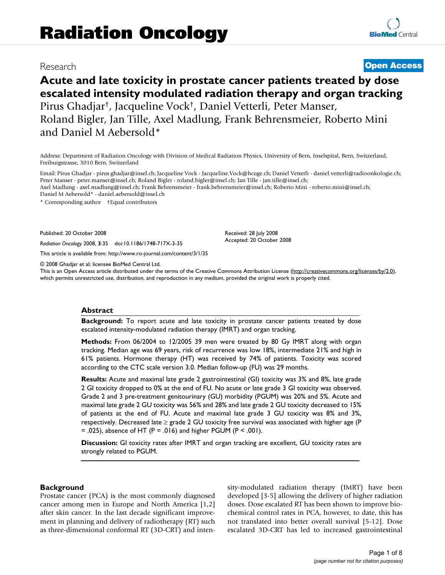## Research **[Open Access](http://www.biomedcentral.com/info/about/charter/)**

# **Acute and late toxicity in prostate cancer patients treated by dose escalated intensity modulated radiation therapy and organ tracking** Pirus Ghadjar†, Jacqueline Vock†, Daniel Vetterli, Peter Manser, Roland Bigler, Jan Tille, Axel Madlung, Frank Behrensmeier, Roberto Mini and Daniel M Aebersold\*

Address: Department of Radiation Oncology with Division of Medical Radiation Physics, University of Bern, Inselspital, Bern, Switzerland, Freiburgstrasse, 3010 Bern, Switzerland

Email: Pirus Ghadjar - pirus.ghadjar@insel.ch; Jacqueline Vock - Jacqueline.Vock@hcuge.ch; Daniel Vetterli - daniel.vetterli@radioonkologie.ch; Peter Manser - peter.manser@insel.ch; Roland Bigler - roland.bigler@insel.ch; Jan Tille - jan.tille@insel.ch; Axel Madlung - axel.madlung@insel.ch; Frank Behrensmeier - frank.behrensmeier@insel.ch; Roberto Mini - roberto.mini@insel.ch; Daniel M Aebersold\* - daniel.aebersold@insel.ch

> Received: 28 July 2008 Accepted: 20 October 2008

\* Corresponding author †Equal contributors

Published: 20 October 2008

*Radiation Oncology* 2008, **3**:35 doi:10.1186/1748-717X-3-35

[This article is available from: http://www.ro-journal.com/content/3/1/35](http://www.ro-journal.com/content/3/1/35)

© 2008 Ghadjar et al; licensee BioMed Central Ltd.

This is an Open Access article distributed under the terms of the Creative Commons Attribution License [\(http://creativecommons.org/licenses/by/2.0\)](http://creativecommons.org/licenses/by/2.0), which permits unrestricted use, distribution, and reproduction in any medium, provided the original work is properly cited.

#### **Abstract**

**Background:** To report acute and late toxicity in prostate cancer patients treated by dose escalated intensity-modulated radiation therapy (IMRT) and organ tracking.

**Methods:** From 06/2004 to 12/2005 39 men were treated by 80 Gy IMRT along with organ tracking. Median age was 69 years, risk of recurrence was low 18%, intermediate 21% and high in 61% patients. Hormone therapy (HT) was received by 74% of patients. Toxicity was scored according to the CTC scale version 3.0. Median follow-up (FU) was 29 months.

**Results:** Acute and maximal late grade 2 gastrointestinal (GI) toxicity was 3% and 8%, late grade 2 GI toxicity dropped to 0% at the end of FU. No acute or late grade 3 GI toxicity was observed. Grade 2 and 3 pre-treatment genitourinary (GU) morbidity (PGUM) was 20% and 5%. Acute and maximal late grade 2 GU toxicity was 56% and 28% and late grade 2 GU toxicity decreased to 15% of patients at the end of FU. Acute and maximal late grade 3 GU toxicity was 8% and 3%, respectively. Decreased late  $\ge$  grade 2 GU toxicity free survival was associated with higher age (P  $= .025$ ), absence of HT (P = .016) and higher PGUM (P < .001).

**Discussion:** GI toxicity rates after IMRT and organ tracking are excellent, GU toxicity rates are strongly related to PGUM.

#### **Background**

Prostate cancer (PCA) is the most commonly diagnosed cancer among men in Europe and North America [1,2] after skin cancer. In the last decade significant improvement in planning and delivery of radiotherapy (RT) such as three-dimensional conformal RT (3D-CRT) and intensity-modulated radiation therapy (IMRT) have been developed [3-5] allowing the delivery of higher radiation doses. Dose escalated RT has been shown to improve biochemical control rates in PCA, however, to date, this has not translated into better overall survival [5-12]. Dose escalated 3D-CRT has led to increased gastrointestinal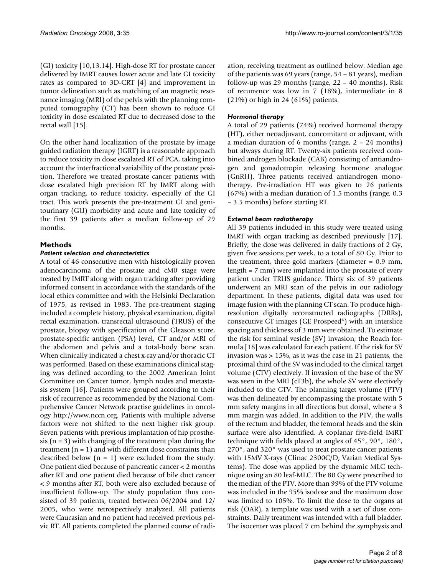(GI) toxicity [10,13,14]. High-dose RT for prostate cancer delivered by IMRT causes lower acute and late GI toxicity rates as compared to 3D-CRT [4] and improvement in tumor delineation such as matching of an magnetic resonance imaging (MRI) of the pelvis with the planning computed tomography (CT) has been shown to reduce GI toxicity in dose escalated RT due to decreased dose to the rectal wall [15].

On the other hand localization of the prostate by image guided radiation therapy (IGRT) is a reasonable approach to reduce toxicity in dose escalated RT of PCA, taking into account the interfractional variability of the prostate position. Therefore we treated prostate cancer patients with dose escalated high precision RT by IMRT along with organ tracking, to reduce toxicity, especially of the GI tract. This work presents the pre-treatment GI and genitourinary (GU) morbidity and acute and late toxicity of the first 39 patients after a median follow-up of 29 months.

### **Methods**

#### *Patient selection and characteristics*

A total of 46 consecutive men with histologically proven adenocarcinoma of the prostate and cM0 stage were treated by IMRT along with organ tracking after providing informed consent in accordance with the standards of the local ethics committee and with the Helsinki Declaration of 1975, as revised in 1983. The pre-treatment staging included a complete history, physical examination, digital rectal examination, transrectal ultrasound (TRUS) of the prostate, biopsy with specification of the Gleason score, prostate-specific antigen (PSA) level, CT and/or MRI of the abdomen and pelvis and a total-body bone scan. When clinically indicated a chest x-ray and/or thoracic CT was performed. Based on these examinations clinical staging was defined according to the 2002 American Joint Committee on Cancer tumor, lymph nodes and metastasis system [16]. Patients were grouped according to their risk of recurrence as recommended by the National Comprehensive Cancer Network practise guidelines in oncology [http://www.nccn.org.](http://www.nccn.org) Patients with multiple adverse factors were not shifted to the next higher risk group. Seven patients with previous implantation of hip prosthesis  $(n = 3)$  with changing of the treatment plan during the treatment  $(n = 1)$  and with different dose constraints than described below  $(n = 1)$  were excluded from the study. One patient died because of pancreatic cancer < 2 months after RT and one patient died because of bile duct cancer < 9 months after RT, both were also excluded because of insufficient follow-up. The study population thus consisted of 39 patients, treated between 06/2004 and 12/ 2005, who were retrospectively analyzed. All patients were Caucasian and no patient had received previous pelvic RT. All patients completed the planned course of radiation, receiving treatment as outlined below. Median age of the patients was 69 years (range, 54 – 81 years), median follow-up was 29 months (range, 22 – 40 months). Risk of recurrence was low in 7 (18%), intermediate in 8 (21%) or high in 24 (61%) patients.

#### *Hormonal therapy*

A total of 29 patients (74%) received hormonal therapy (HT), either neoadjuvant, concomitant or adjuvant, with a median duration of 6 months (range, 2 – 24 months) but always during RT. Twenty-six patients received combined androgen blockade (CAB) consisting of antiandrogen and gonadotropin releasing hormone analogue (GnRH). Three patients received antiandrogen monotherapy. Pre-irradiation HT was given to 26 patients (67%) with a median duration of 1.5 months (range, 0.3 – 3.5 months) before starting RT.

#### *External beam radiotherapy*

All 39 patients included in this study were treated using IMRT with organ tracking as described previously [17]. Briefly, the dose was delivered in daily fractions of 2 Gy, given five sessions per week, to a total of 80 Gy. Prior to the treatment, three gold markers (diameter = 0.9 mm, length = 7 mm) were implanted into the prostate of every patient under TRUS guidance. Thirty six of 39 patients underwent an MRI scan of the pelvis in our radiology department. In these patients, digital data was used for image fusion with the planning CT scan. To produce highresolution digitally reconstructed radiographs (DRRs), consecutive CT images (GE Prospeed®) with an interslice spacing and thickness of 3 mm were obtained. To estimate the risk for seminal vesicle (SV) invasion, the Roach formula [18] was calculated for each patient. If the risk for SV invasion was > 15%, as it was the case in 21 patients, the proximal third of the SV was included to the clinical target volume (CTV) electively. If invasion of the base of the SV was seen in the MRI (cT3b), the whole SV were electively included to the CTV. The planning target volume (PTV) was then delineated by encompassing the prostate with 5 mm safety margins in all directions but dorsal, where a 3 mm margin was added. In addition to the PTV, the walls of the rectum and bladder, the femoral heads and the skin surface were also identified. A coplanar five-field IMRT technique with fields placed at angles of 45°, 90°, 180°, 270°, and 320° was used to treat prostate cancer patients with 15MV X-rays (Clinac 2300C/D, Varian Medical Systems). The dose was applied by the dynamic MLC technique using an 80 leaf-MLC. The 80 Gy were prescribed to the median of the PTV. More than 99% of the PTV volume was included in the 95% isodose and the maximum dose was limited to 105%. To limit the dose to the organs at risk (OAR), a template was used with a set of dose constraints. Daily treatment was intended with a full bladder. The isocenter was placed 7 cm behind the symphysis and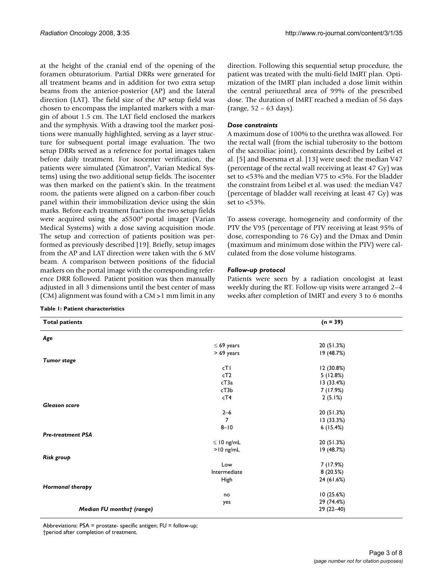at the height of the cranial end of the opening of the foramen obturatorium. Partial DRRs were generated for all treatment beams and in addition for two extra setup beams from the anterior-posterior (AP) and the lateral direction (LAT). The field size of the AP setup field was chosen to encompass the implanted markers with a margin of about 1.5 cm. The LAT field enclosed the markers and the symphysis. With a drawing tool the marker positions were manually highlighted, serving as a layer structure for subsequent portal image evaluation. The two setup DRRs served as a reference for portal images taken before daily treatment. For isocenter verification, the patients were simulated (Ximatron®, Varian Medical Systems) using the two additional setup fields. The isocenter was then marked on the patient's skin. In the treatment room, the patients were aligned on a carbon-fiber couch panel within their immobilization device using the skin marks. Before each treatment fraction the two setup fields were acquired using the aS500® portal imager (Varian Medical Systems) with a dose saving acquisition mode. The setup and correction of patients position was performed as previously described [19]. Briefly, setup images from the AP and LAT direction were taken with the 6 MV beam. A comparison between positions of the fiducial markers on the portal image with the corresponding reference DRR followed. Patient position was then manually adjusted in all 3 dimensions until the best center of mass (CM) alignment was found with a CM >1 mm limit in any

#### **Table 1: Patient characteristics**

direction. Following this sequential setup procedure, the patient was treated with the multi-field IMRT plan. Optimization of the IMRT plan included a dose limit within the central periurethral area of 99% of the prescribed dose. The duration of IMRT reached a median of 56 days (range, 52 – 63 days).

#### *Dose constraints*

A maximum dose of 100% to the urethra was allowed. For the rectal wall (from the ischial tuberosity to the bottom of the sacroiliac joint), constraints described by Leibel et al. [5] and Boersma et al. [13] were used: the median V47 (percentage of the rectal wall receiving at least 47 Gy) was set to <53% and the median V75 to <5%. For the bladder the constraint from Leibel et al. was used: the median V47 (percentage of bladder wall receiving at least 47 Gy) was set to <53%.

To assess coverage, homogeneity and conformity of the PTV the V95 (percentage of PTV receiving at least 95% of dose, corresponding to 76 Gy) and the Dmax and Dmin (maximum and minimum dose within the PTV) were calculated from the dose volume histograms.

#### *Follow-up protocol*

Patients were seen by a radiation oncologist at least weekly during the RT. Follow-up visits were arranged 2–4 weeks after completion of IMRT and every 3 to 6 months

| <b>Total patients</b>     |                 | $(n = 39)$  |  |
|---------------------------|-----------------|-------------|--|
| Age                       |                 |             |  |
|                           | $\leq 69$ years | 20 (51.3%)  |  |
|                           | > 69 years      | 19 (48.7%)  |  |
| <b>Tumor stage</b>        |                 |             |  |
|                           | cT1             | 12 (30.8%)  |  |
|                           | cT2             | 5(12.8%)    |  |
|                           | cT3a            | 13 (33.4%)  |  |
|                           | cT3b            | 7 (17.9%)   |  |
|                           | cT4             | 2(5.1%)     |  |
| <b>Gleason score</b>      |                 |             |  |
|                           | $2 - 6$         | 20 (51.3%)  |  |
|                           | $\overline{7}$  | 13 (33.3%)  |  |
|                           | $8 - 10$        | 6(15.4%)    |  |
| <b>Pre-treatment PSA</b>  |                 |             |  |
|                           | $\leq 10$ ng/mL | 20 (51.3%)  |  |
|                           | $>10$ ng/mL     | 19 (48.7%)  |  |
| Risk group                |                 |             |  |
|                           | Low             | 7 (17.9%)   |  |
|                           | Intermediate    | 8 (20.5%)   |  |
|                           | High            | 24 (61.6%)  |  |
| Hormonal therapy          |                 |             |  |
|                           | no              | 10(25.6%)   |  |
|                           | yes             | 29 (74.4%)  |  |
| Median FU monthst (range) |                 | $29(22-40)$ |  |

Abbreviations: PSA = prostate- specific antigen; FU = follow-up; †period after completion of treatment.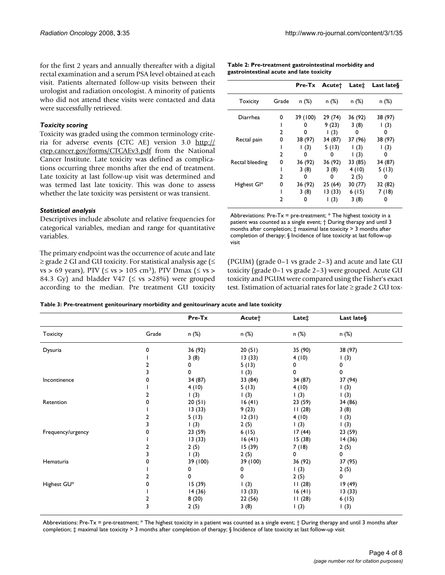for the first 2 years and annually thereafter with a digital rectal examination and a serum PSA level obtained at each visit. Patients alternated follow-up visits between their urologist and radiation oncologist. A minority of patients who did not attend these visits were contacted and data were successfully retrieved.

#### *Toxicity scoring*

Toxicity was graded using the common terminology criteria for adverse events (CTC AE) version 3.0 [http://](http://ctep.cancer.gov/forms/CTCAEv3.pdf) [ctep.cancer.gov/forms/CTCAEv3.pdf](http://ctep.cancer.gov/forms/CTCAEv3.pdf) from the National Cancer Institute. Late toxicity was defined as complications occurring three months after the end of treatment. Late toxicity at last follow-up visit was determined and was termed last late toxicity. This was done to assess whether the late toxicity was persistent or was transient.

#### *Statistical analysis*

Descriptives include absolute and relative frequencies for categorical variables, median and range for quantitative variables.

The primary endpoint was the occurrence of acute and late  $\geq$  grade 2 GI and GU toxicity. For statistical analysis age ( $\leq$ vs > 69 years), PTV ( $\leq$  vs > 105 cm<sup>3</sup>), PTV Dmax ( $\leq$  vs > 84.3 Gy) and bladder V47 ( $\leq$  vs >28%) were grouped according to the median. Pre treatment GU toxicity

| Table 2: Pre-treatment gastrointestinal morbidity and |
|-------------------------------------------------------|
| gastrointestinal acute and late toxicity              |

|                 |       |             | Pre-Tx Acutet | Late±       | Last late§  |
|-----------------|-------|-------------|---------------|-------------|-------------|
| <b>Toxicity</b> | Grade | n(%)        | n(%)          | n(%)        | n (%)       |
| Diarrhea        | 0     | 39 (100)    | 29 (74)       | 36 (92)     | 38 (97)     |
|                 |       | O           | 9(23)         | 3(8)        | $\vert$ (3) |
|                 | 2     | 0           | (3)           | 0           | 0           |
| Rectal pain     | 0     | 38 (97)     | 34 (87)       | 37 (96)     | 38 (97)     |
|                 |       | $\vert$ (3) | 5(13)         | $\vert$ (3) | $\vert$ (3) |
|                 | 2     | 0           | 0             | $\vert$ (3) | o           |
| Rectal bleeding | 0     | 36 (92)     | 36 (92)       | 33 (85)     | 34 (87)     |
|                 |       | 3(8)        | 3(8)          | 4(10)       | 5(13)       |
|                 | 2     | 0           | 0             | 2(5)        | o           |
| Highest GI*     | 0     | 36 (92)     | 25(64)        | 30 (77)     | 32 (82)     |
|                 |       | 3(8)        | 13 (33)       | 6(15)       | 7 (18)      |
|                 | 2     | 0           | (3)           | 3(8)        | o           |

Abbreviations: Pre-T $x = pre-treatment; * The highest toxicity in a$ patient was counted as a single event; † During therapy and until 3 months after completion; ‡ maximal late toxicity > 3 months after completion of therapy; § Incidence of late toxicity at last follow-up visit

(PGUM) (grade 0–1 vs grade 2–3) and acute and late GU toxicity (grade 0–1 vs grade 2–3) were grouped. Acute GU toxicity and PGUM were compared using the Fisher's exact test. Estimation of actuarial rates for late ≥ grade 2 GU tox-

**Table 3: Pre-treatment genitourinary morbidity and genitourinary acute and late toxicity**

|                   |       | Pre-Tx   | Acute†           | Late <sup>+</sup> | Last late§ |
|-------------------|-------|----------|------------------|-------------------|------------|
| <b>Toxicity</b>   | Grade | n (%)    | n (%)            | n (%)             | n (%)      |
| Dysuria           | 0     | 36 (92)  | 20(51)           | 35 (90)           | 38 (97)    |
|                   |       | 3(8)     | 13(33)           | 4(10)             | 1(3)       |
|                   | 2     | 0        | 5(13)            | 0                 | 0          |
|                   | 3     | 0        | 1(3)             | 0                 | 0          |
| Incontinence      | 0     | 34(87)   | 33 (84)          | 34 (87)           | 37 (94)    |
|                   |       | 4(10)    | 5(13)            | 4(10)             | 1(3)       |
|                   | 2     | 1(3)     | 1(3)             | 1(3)              | 1(3)       |
| Retention         | 0     | 20(51)   | 16(41)           | 23 (59)           | 34 (86)    |
|                   |       | 13(33)   | 9(23)            | 11(28)            | 3(8)       |
|                   | 2     | 5(13)    | 12(31)           | 4(10)             | 1(3)       |
|                   | 3     | 1(3)     | 2(5)             | 1(3)              | 1(3)       |
| Frequency/urgency | U     | 23 (59)  | 6(15)            | 17(44)            | 23 (59)    |
|                   |       | 13(33)   | 16(41)           | 15(38)            | 14(36)     |
|                   | 2     | 2(5)     | 15(39)           | 7(18)             | 2(5)       |
|                   | 3     | 1(3)     | 2(5)             | 0                 | 0          |
| Hematuria         | 0     | 39 (100) | 39 (100)         | 36 (92)           | 37 (95)    |
|                   |       | 0        | 0                | 1(3)              | 2(5)       |
|                   | 2     | 0        | 0                | 2(5)              | 0          |
| Highest GU*       | 0     | 15(39)   | $\left(3\right)$ | 11(28)            | 19(49)     |
|                   |       | 14(36)   | 13(33)           | 16(41)            | 13(33)     |
|                   | 2     | 8(20)    | 22 (56)          | 11(28)            | 6(15)      |
|                   | 3     | 2(5)     | 3(8)             | 1(3)              | 1(3)       |

Abbreviations: Pre-Tx = pre-treatment; \* The highest toxicity in a patient was counted as a single event; † During therapy and until 3 months after completion; ‡ maximal late toxicity > 3 months after completion of therapy; § Incidence of late toxicity at last follow-up visit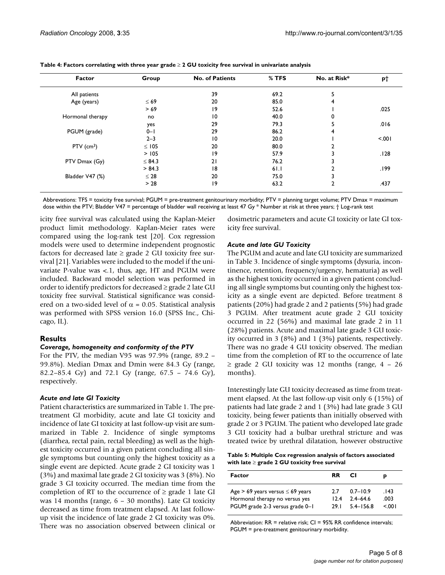| Factor                   | Group       | <b>No. of Patients</b> | $%$ TFS | No. at Risk* | <b>p</b> † |
|--------------------------|-------------|------------------------|---------|--------------|------------|
| All patients             |             | 39                     | 69.2    |              |            |
| Age (years)              | $\leq 69$   | 20                     | 85.0    | 4            |            |
|                          | >69         | 19                     | 52.6    |              | .025       |
| Hormonal therapy         | no          | $\overline{0}$         | 40.0    |              |            |
|                          | yes         | 29                     | 79.3    |              | .016       |
| PGUM (grade)             | $0 - 1$     | 29                     | 86.2    | 4            |            |
|                          | $2 - 3$     | 10                     | 20.0    |              | < 0.01     |
| $PTV$ (cm <sup>3</sup> ) | $\leq$ 105  | 20                     | 80.0    |              |            |
|                          | > 105       | 19                     | 57.9    |              | .128       |
| PTV Dmax (Gy)            | $\leq$ 84.3 | 21                     | 76.2    |              |            |
|                          | > 84.3      | 18                     | 61.1    |              | .199       |
| Bladder V47 (%)          | $\leq 28$   | 20                     | 75.0    |              |            |
|                          | > 28        | 19                     | 63.2    |              | .437       |

**Table 4: Factors correlating with three year grade** ≥ **2 GU toxicity free survival in univariate analysis**

Abbrevations: TFS = toxicity free survival; PGUM = pre-treatment genitourinary morbidity; PTV = planning target volume; PTV Dmax = maximum dose within the PTV; Bladder V47 = percentage of bladder wall receiving at least 47 Gy \* Number at risk at three years; † Log-rank test

icity free survival was calculated using the Kaplan-Meier product limit methodology. Kaplan-Meier rates were compared using the log-rank test [20]. Cox regression models were used to determine independent prognostic factors for decreased late  $\geq$  grade 2 GU toxicity free survival [21]. Variables were included to the model if the univariate P-value was <.1, thus, age, HT and PGUM were included. Backward model selection was performed in order to identify predictors for decreased ≥ grade 2 late GU toxicity free survival. Statistical significance was considered on a two-sided level of  $\alpha$  = 0.05. Statistical analysis was performed with SPSS version 16.0 (SPSS Inc., Chicago, IL).

#### **Results**

#### *Coverage, homogeneity and conformity of the PTV*

For the PTV, the median V95 was 97.9% (range, 89.2 – 99.8%). Median Dmax and Dmin were 84.3 Gy (range, 82.2–85.4 Gy) and 72.1 Gy (range, 67.5 – 74.6 Gy), respectively.

#### *Acute and late GI Toxicity*

Patient characteristics are summarized in Table 1. The pretreatment GI morbidity, acute and late GI toxicity and incidence of late GI toxicity at last follow-up visit are summarized in Table 2. Incidence of single symptoms (diarrhea, rectal pain, rectal bleeding) as well as the highest toxicity occurred in a given patient concluding all single symptoms but counting only the highest toxicity as a single event are depicted. Acute grade 2 GI toxicity was 1 (3%) and maximal late grade 2 GI toxicity was 3 (8%). No grade 3 GI toxicity occurred. The median time from the completion of RT to the occurrence of  $\geq$  grade 1 late GI was 14 months (range, 6 – 30 months). Late GI toxicity decreased as time from treatment elapsed. At last followup visit the incidence of late grade 2 GI toxicity was 0%. There was no association observed between clinical or dosimetric parameters and acute GI toxicity or late GI toxicity free survival.

#### *Acute and late GU Toxicity*

The PGUM and acute and late GU toxicity are summarized in Table 3. Incidence of single symptoms (dysuria, incontinence, retention, frequency/urgency, hematuria) as well as the highest toxicity occurred in a given patient concluding all single symptoms but counting only the highest toxicity as a single event are depicted. Before treatment 8 patients (20%) had grade 2 and 2 patients (5%) had grade 3 PGUM. After treatment acute grade 2 GU toxicity occurred in 22 (56%) and maximal late grade 2 in 11 (28%) patients. Acute and maximal late grade 3 GU toxicity occurred in 3 (8%) and 1 (3%) patients, respectively. There was no grade 4 GU toxicity observed. The median time from the completion of RT to the occurrence of late  $\geq$  grade 2 GU toxicity was 12 months (range, 4 – 26 months).

Interestingly late GU toxicity decreased as time from treatment elapsed. At the last follow-up visit only 6 (15%) of patients had late grade 2 and 1 (3%) had late grade 3 GU toxicity, being fewer patients than initially observed with grade 2 or 3 PGUM. The patient who developed late grade 3 GU toxicity had a bulbar urethral stricture and was treated twice by urethral dilatation, however obstructive

**Table 5: Multiple Cox regression analysis of factors associated with late** ≥ **grade 2 GU toxicity free survival**

| Factor                                  | RR.   | CI.           |      |
|-----------------------------------------|-------|---------------|------|
| Age $> 69$ years versus $\leq 69$ years | - 77  | $0.7 - 10.9$  | .143 |
| Hormonal therapy no versus yes          | 124   | $24 - 64.6$   | .003 |
| PGUM grade 2-3 versus grade 0-1         | 29. L | $5.4 - 156.8$ | 001  |

Abbreviation: RR = relative risk; CI = 95% RR confidence intervals; PGUM = pre-treatment genitourinary morbidity.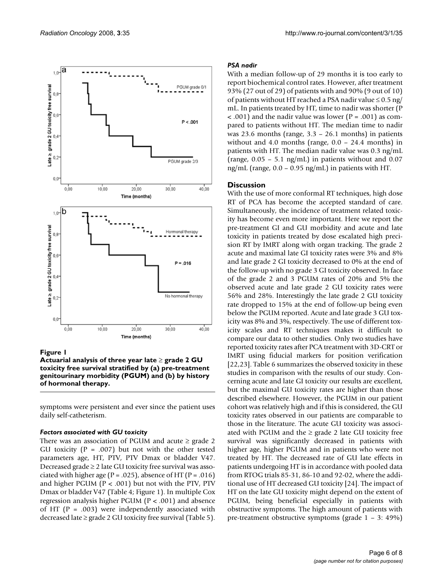

Figure 1

**Actuarial analysis of three year late** ≥ **grade 2 GU toxicity free survival stratified by (a) pre-treatment genitourinary morbidity (PGUM) and (b) by history of hormonal therapy.**

symptoms were persistent and ever since the patient uses daily self-catheterism.

#### *Factors associated with GU toxicity*

There was an association of PGUM and acute  $\geq$  grade 2 GU toxicity ( $P = .007$ ) but not with the other tested parameters age, HT, PTV, PTV Dmax or bladder V47. Decreased grade  $\geq 2$  late GU toxicity free survival was associated with higher age ( $P = .025$ ), absence of HT ( $P = .016$ ) and higher PGUM ( $P < .001$ ) but not with the PTV, PTV Dmax or bladder V47 (Table 4; Figure 1). In multiple Cox regression analysis higher PGUM (P < .001) and absence of HT ( $P = .003$ ) were independently associated with decreased late  $\geq$  grade 2 GU toxicity free survival (Table 5).

#### *PSA nadir*

With a median follow-up of 29 months it is too early to report biochemical control rates. However, after treatment 93% (27 out of 29) of patients with and 90% (9 out of 10) of patients without HT reached a PSA nadir value  $\leq 0.5$  ng/ mL. In patients treated by HT, time to nadir was shorter (P  $<$  .001) and the nadir value was lower ( $P = .001$ ) as compared to patients without HT. The median time to nadir was 23.6 months (range,  $3.3 - 26.1$  months) in patients without and 4.0 months (range,  $0.0 - 24.4$  months) in patients with HT. The median nadir value was 0.3 ng/mL (range,  $0.05 - 5.1$  ng/mL) in patients without and  $0.07$ ng/mL (range,  $0.0 - 0.95$  ng/mL) in patients with HT.

#### **Discussion**

With the use of more conformal RT techniques, high dose RT of PCA has become the accepted standard of care. Simultaneously, the incidence of treatment related toxicity has become even more important. Here we report the pre-treatment GI and GU morbidity and acute and late toxicity in patients treated by dose escalated high precision RT by IMRT along with organ tracking. The grade 2 acute and maximal late GI toxicity rates were 3% and 8% and late grade 2 GI toxicity decreased to 0% at the end of the follow-up with no grade 3 GI toxicity observed. In face of the grade 2 and 3 PGUM rates of 20% and 5% the observed acute and late grade 2 GU toxicity rates were 56% and 28%. Interestingly the late grade 2 GU toxicity rate dropped to 15% at the end of follow-up being even below the PGUM reported. Acute and late grade 3 GU toxicity was 8% and 3%, respectively. The use of different toxicity scales and RT techniques makes it difficult to compare our data to other studies. Only two studies have reported toxicity rates after PCA treatment with 3D-CRT or IMRT using fiducial markers for position verification [22,23]. Table 6 summarizes the observed toxicity in these studies in comparison with the results of our study. Concerning acute and late GI toxicity our results are excellent, but the maximal GU toxicity rates are higher than those described elsewhere. However, the PGUM in our patient cohort was relatively high and if this is considered, the GU toxicity rates observed in our patients are comparable to those in the literature. The acute GU toxicity was associated with PGUM and the  $\geq$  grade 2 late GU toxicity free survival was significantly decreased in patients with higher age, higher PGUM and in patients who were not treated by HT. The decreased rate of GU late effects in patients undergoing HT is in accordance with pooled data from RTOG trials 85-31, 86-10 and 92-02, where the additional use of HT decreased GU toxicity [24]. The impact of HT on the late GU toxicity might depend on the extent of PGUM, being beneficial especially in patients with obstructive symptoms. The high amount of patients with pre-treatment obstructive symptoms (grade 1 – 3: 49%)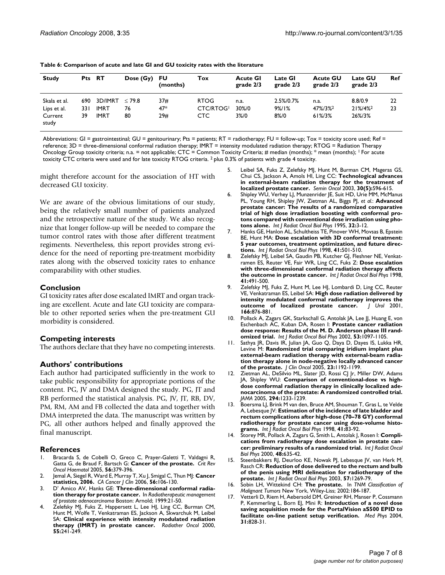| <b>Study</b>     | Pts RT |             | Dose (Gy) FU | (months) | Tox         | <b>Acute GI</b><br>grade $2/3$ | <b>Late GI</b><br>grade 2/3 | <b>Acute GU</b><br>grade $2/3$ | <b>Late GU</b><br>grade $2/3$ | Ref |
|------------------|--------|-------------|--------------|----------|-------------|--------------------------------|-----------------------------|--------------------------------|-------------------------------|-----|
| Skala et al.     |        | 690 3D/IMRT | < 79.8       | 37#      | <b>RTOG</b> | n.a.                           | 2.5%/0.7%                   | n.a.                           | 8.8/0.9                       | 22  |
| Lips et al.      | 33 I   | IMRT        | 76           | $47*$    | CTC/RTOG!   | 30%/0                          | $9\%/1\%$                   | 47%/3%2                        | 21%/4%2                       | 23  |
| Current<br>study | 39     | <b>IMRT</b> | 80           | 29#      | CTC.        | 3%/0                           | 8%/0                        | 61%/3%                         | 26%/3%                        |     |

| Table 6: Comparison of acute and late GI and GU toxicity rates with the literature |  |
|------------------------------------------------------------------------------------|--|
|------------------------------------------------------------------------------------|--|

Abbreviations: GI = gastrointestinal; GU = genitourinary; Pts = patients; RT = radiotherapy; FU = follow-up; Tox = toxicity score used; Ref = reference; 3D = three-dimensional conformal radiation therapy; IMRT = intensity modulated radiation therapy; RTOG = Radiation Therapy Oncology Group toxicity criteria; n.a. = not applicable; CTC = Common Toxicity Criteria; # median (months); \* mean (months); <sup>1</sup> For acute toxicity CTC criteria were used and for late toxicity RTOG criteria. 2 plus 0.3% of patients with grade 4 toxicity.

might therefore account for the association of HT with decreased GU toxicity.

We are aware of the obvious limitations of our study, being the relatively small number of patients analyzed and the retrospective nature of the study. We also recognize that longer follow-up will be needed to compare the tumor control rates with those after different treatment regiments. Nevertheless, this report provides strong evidence for the need of reporting pre-treatment morbidity rates along with the observed toxicity rates to enhance comparability with other studies.

#### **Conclusion**

GI toxicity rates after dose escalated IMRT and organ tracking are excellent. Acute and late GU toxicity are comparable to other reported series when the pre-treatment GU morbidity is considered.

#### **Competing interests**

The authors declare that they have no competing interests.

#### **Authors' contributions**

Each author had participated sufficiently in the work to take public responsibility for appropriate portions of the content. PG, JV and DMA designed the study. PG, JT and RB performed the statistical analysis. PG, JV, JT, RB, DV, PM, RM, AM and FB collected the data and together with DMA interpreted the data. The manuscript was written by PG, all other authors helped and finally approved the final manuscript.

#### **References**

- Bracarda S, de Cobelli O, Greco C, Prayer-Galetti T, Valdagni R, Gatta G, de Braud F, Bartsch G: **Cancer of the prostate.** *Crit Rev Oncol Haematol* 2005, **56:**379-396.
- 2. Jemal A, Siegel R, Ward E, Murray T, Xu J, Smigal C, Thun MJ: **[Cancer](http://www.ncbi.nlm.nih.gov/entrez/query.fcgi?cmd=Retrieve&db=PubMed&dopt=Abstract&list_uids=16514137) [statistics, 2006.](http://www.ncbi.nlm.nih.gov/entrez/query.fcgi?cmd=Retrieve&db=PubMed&dopt=Abstract&list_uids=16514137)** *CA Cancer J Clin* 2006, **56:**106-130.
- 3. D' Amico AV, Hanks GE: **Three-dimensional conformal radiation therapy for prostate cancer.** In *Radiotherapeutic management of prostate adenocarcinoma* Boston: Arnold; 1999:21-50.
- 4. Zelefsky MJ, Fuks Z, Happersett L, Lee HJ, Ling CC, Burman CM, Hunt M, Wolfe T, Venkatraman ES, Jackson A, Skwarchuk M, Leibel SA: **[Clinical experience with intensity modulated radiation](http://www.ncbi.nlm.nih.gov/entrez/query.fcgi?cmd=Retrieve&db=PubMed&dopt=Abstract&list_uids=10869739) [therapy \(IMRT\) in prostate cancer.](http://www.ncbi.nlm.nih.gov/entrez/query.fcgi?cmd=Retrieve&db=PubMed&dopt=Abstract&list_uids=10869739)** *Radiother Oncol* 2000, **55:**241-249.
- Leibel SA, Fuks Z, Zelefsky MJ, Hunt M, Burman CM, Mageras GS, Chui CS, Jackson A, Amols HI, Ling CC: **[Technological advances](http://www.ncbi.nlm.nih.gov/entrez/query.fcgi?cmd=Retrieve&db=PubMed&dopt=Abstract&list_uids=14571409) [in external-beam radiation therapy for the treatment of](http://www.ncbi.nlm.nih.gov/entrez/query.fcgi?cmd=Retrieve&db=PubMed&dopt=Abstract&list_uids=14571409) [localized prostate cancer.](http://www.ncbi.nlm.nih.gov/entrez/query.fcgi?cmd=Retrieve&db=PubMed&dopt=Abstract&list_uids=14571409)** *Semin Oncol* 2003, **30(5):**596-615.
- 6. Shipley WU, Verhey LJ, Munzenrider JE, Suit HD, Urie MM, McManus PL, Young RH, Shipley JW, Zietman AL, Biggs PJ, *et al.*: **[Advanced](http://www.ncbi.nlm.nih.gov/entrez/query.fcgi?cmd=Retrieve&db=PubMed&dopt=Abstract&list_uids=7721636) [prostate cancer: The results of a randomized comparative](http://www.ncbi.nlm.nih.gov/entrez/query.fcgi?cmd=Retrieve&db=PubMed&dopt=Abstract&list_uids=7721636) trial of high dose irradiation boosting with conformal protons compared with conventional dose irradiation using pho[tons alone.](http://www.ncbi.nlm.nih.gov/entrez/query.fcgi?cmd=Retrieve&db=PubMed&dopt=Abstract&list_uids=7721636)** *Int J Radiat Oncol Biol Phys* 1995, **32:**3-12.
- 7. Hanks GE, Hanlon AL, Schultheiss TE, Pinover WH, Movsas B, Epstein BE, Hunt MA: **[Dose escalation with 3D conformal treatment:](http://www.ncbi.nlm.nih.gov/entrez/query.fcgi?cmd=Retrieve&db=PubMed&dopt=Abstract&list_uids=9635695) [5 year outcomes, treatment optimization, and future direc](http://www.ncbi.nlm.nih.gov/entrez/query.fcgi?cmd=Retrieve&db=PubMed&dopt=Abstract&list_uids=9635695)[tions.](http://www.ncbi.nlm.nih.gov/entrez/query.fcgi?cmd=Retrieve&db=PubMed&dopt=Abstract&list_uids=9635695)** *Int J Radiat Oncol Biol Phys* 1998, **41:**501-510.
- Zelefsky MJ, Leibel SA, Gaudin PB, Kutcher GJ, Fleshner NE, Venkatramen ES, Reuter VE, Fair WR, Ling CC, Fuks Z: **[Dose escalation](http://www.ncbi.nlm.nih.gov/entrez/query.fcgi?cmd=Retrieve&db=PubMed&dopt=Abstract&list_uids=9635694) [with three-dimensional conformal radiation therapy affects](http://www.ncbi.nlm.nih.gov/entrez/query.fcgi?cmd=Retrieve&db=PubMed&dopt=Abstract&list_uids=9635694) [the outcome in prostate cancer.](http://www.ncbi.nlm.nih.gov/entrez/query.fcgi?cmd=Retrieve&db=PubMed&dopt=Abstract&list_uids=9635694)** *Int J Radiat Oncol Biol Phys* 1998, **41:**491-500.
- Zelefsky MJ, Fuks Z, Hunt M, Lee HJ, Lombardi D, Ling CC, Reuter VE, Venkatraman ES, Leibel SA: **[High dose radiation delivered by](http://www.ncbi.nlm.nih.gov/entrez/query.fcgi?cmd=Retrieve&db=PubMed&dopt=Abstract&list_uids=11490237) [intensity modulated conformal radiotherapy improves the](http://www.ncbi.nlm.nih.gov/entrez/query.fcgi?cmd=Retrieve&db=PubMed&dopt=Abstract&list_uids=11490237)** [outcome of localized prostate cancer.](http://www.ncbi.nlm.nih.gov/entrez/query.fcgi?cmd=Retrieve&db=PubMed&dopt=Abstract&list_uids=11490237) **166:**876-881.
- 10. Pollack A, Zagars GK, Starkschall G, Antolak JA, Lee JJ, Huang E, von Eschenbach AC, Kuban DA, Rosen I: **[Prostate cancer radiation](http://www.ncbi.nlm.nih.gov/entrez/query.fcgi?cmd=Retrieve&db=PubMed&dopt=Abstract&list_uids=12128107) [dose response: Results of the M. D. Anderson phase III rand](http://www.ncbi.nlm.nih.gov/entrez/query.fcgi?cmd=Retrieve&db=PubMed&dopt=Abstract&list_uids=12128107)[omized trial.](http://www.ncbi.nlm.nih.gov/entrez/query.fcgi?cmd=Retrieve&db=PubMed&dopt=Abstract&list_uids=12128107)** *Int J Radiat Oncol Biol Phys* 2002, **53:**1097-1105.
- 11. Sathya JR, Davis IR, Julian JA, Guo Q, Daya D, Dayes IS, Lukka HR, Levine M: **[Randomized trial comparing iridium implant plus](http://www.ncbi.nlm.nih.gov/entrez/query.fcgi?cmd=Retrieve&db=PubMed&dopt=Abstract&list_uids=15718316) [external-beam radiation therapy with external-beam radia](http://www.ncbi.nlm.nih.gov/entrez/query.fcgi?cmd=Retrieve&db=PubMed&dopt=Abstract&list_uids=15718316)tion therapy alone in node-negative locally advanced cancer [of the prostate.](http://www.ncbi.nlm.nih.gov/entrez/query.fcgi?cmd=Retrieve&db=PubMed&dopt=Abstract&list_uids=15718316)** *J Clin Oncol* 2005, **23:**1192-1199.
- 12. Zietman AL, DeSilvio ML, Slater JD, Rossi CJ Jr, Miller DW, Adams JA, Shipley WU: **[Comparison of conventional-dose vs high](http://www.ncbi.nlm.nih.gov/entrez/query.fcgi?cmd=Retrieve&db=PubMed&dopt=Abstract&list_uids=16160131)dose conformal radiation therapy in clinically localized ade[nocarcinoma of the prostate: A randomized controlled trial.](http://www.ncbi.nlm.nih.gov/entrez/query.fcgi?cmd=Retrieve&db=PubMed&dopt=Abstract&list_uids=16160131)** *JAMA* 2005, **294:**1233-1239.
- 13. Boersma LJ, Brink M van den, Bruce AM, Shouman T, Gras L, te Velde A, Lebesque JV: **[Estimation of the incidence of late bladder and](http://www.ncbi.nlm.nih.gov/entrez/query.fcgi?cmd=Retrieve&db=PubMed&dopt=Abstract&list_uids=9588921) [rectum complications after high-dose \(70–78 GY\) conformal](http://www.ncbi.nlm.nih.gov/entrez/query.fcgi?cmd=Retrieve&db=PubMed&dopt=Abstract&list_uids=9588921) radiotherapy for prostate cancer using dose-volume histo[grams.](http://www.ncbi.nlm.nih.gov/entrez/query.fcgi?cmd=Retrieve&db=PubMed&dopt=Abstract&list_uids=9588921)** *Int J Radiat Oncol Biol Phys* 1998, **41:**83-92.
- 14. Storey MR, Pollack A, Zagars G, Smith L, Antolak J, Rosen I: **[Compli](http://www.ncbi.nlm.nih.gov/entrez/query.fcgi?cmd=Retrieve&db=PubMed&dopt=Abstract&list_uids=11020558)[cations from radiotherapy dose escalation in prostate can](http://www.ncbi.nlm.nih.gov/entrez/query.fcgi?cmd=Retrieve&db=PubMed&dopt=Abstract&list_uids=11020558)[cer: preliminary results of a randomized trial.](http://www.ncbi.nlm.nih.gov/entrez/query.fcgi?cmd=Retrieve&db=PubMed&dopt=Abstract&list_uids=11020558)** *Int J Radiat Oncol Biol Phys* 2000, **48:**635-42.
- Steenbakkers RJ, Deurloo KE, Nowak PJ, Lebesque JV, van Herk M, Rasch CR: **[Reduction of dose delivered to the rectum and bulb](http://www.ncbi.nlm.nih.gov/entrez/query.fcgi?cmd=Retrieve&db=PubMed&dopt=Abstract&list_uids=14630261) [of the penis using MRI delineation for radiotherapy of the](http://www.ncbi.nlm.nih.gov/entrez/query.fcgi?cmd=Retrieve&db=PubMed&dopt=Abstract&list_uids=14630261) [prostate.](http://www.ncbi.nlm.nih.gov/entrez/query.fcgi?cmd=Retrieve&db=PubMed&dopt=Abstract&list_uids=14630261)** *Int J Radiat Oncol Biol Phys* 2003, **57:**1269-79.
- 16. Sobin LH, Wittekind CH: **The prostate.** In *TNM Classification of Malignant Tumors* New York, Wiley-Liss; 2002:184-187.
- 17. Vetterli D, Riem H, Aebersold DM, Greiner RH, Manser P, Cossmann P, Kemmerling L, Born EJ, Mini R: **[Introduction of a novel dose](http://www.ncbi.nlm.nih.gov/entrez/query.fcgi?cmd=Retrieve&db=PubMed&dopt=Abstract&list_uids=15125000) [saving acquisition mode for the PortalVision aS500 EPID to](http://www.ncbi.nlm.nih.gov/entrez/query.fcgi?cmd=Retrieve&db=PubMed&dopt=Abstract&list_uids=15125000) [facilitate on-line patient setup verification.](http://www.ncbi.nlm.nih.gov/entrez/query.fcgi?cmd=Retrieve&db=PubMed&dopt=Abstract&list_uids=15125000)** *Med Phys* 2004, **31:**828-31.